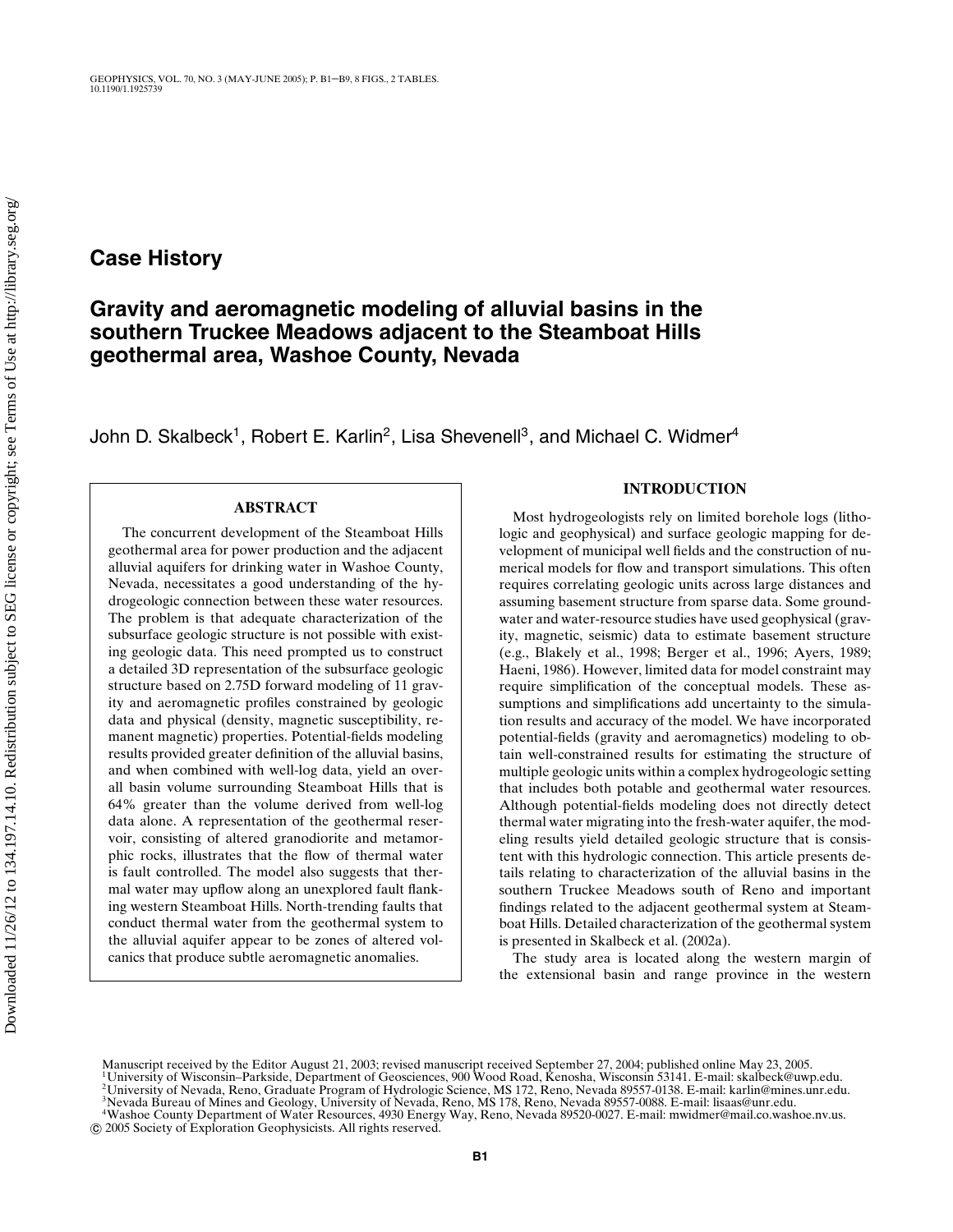## **Case History**

# **Gravity and aeromagnetic modeling of alluvial basins in the southern Truckee Meadows adjacent to the Steamboat Hills geothermal area, Washoe County, Nevada**

John D. Skalbeck<sup>1</sup>, Robert E. Karlin<sup>2</sup>, Lisa Shevenell<sup>3</sup>, and Michael C. Widmer<sup>4</sup>

### **ABSTRACT**

The concurrent development of the Steamboat Hills geothermal area for power production and the adjacent alluvial aquifers for drinking water in Washoe County, Nevada, necessitates a good understanding of the hydrogeologic connection between these water resources. The problem is that adequate characterization of the subsurface geologic structure is not possible with existing geologic data. This need prompted us to construct a detailed 3D representation of the subsurface geologic structure based on 2.75D forward modeling of 11 gravity and aeromagnetic profiles constrained by geologic data and physical (density, magnetic susceptibility, remanent magnetic) properties. Potential-fields modeling results provided greater definition of the alluvial basins, and when combined with well-log data, yield an overall basin volume surrounding Steamboat Hills that is 64% greater than the volume derived from well-log data alone. A representation of the geothermal reservoir, consisting of altered granodiorite and metamorphic rocks, illustrates that the flow of thermal water is fault controlled. The model also suggests that thermal water may upflow along an unexplored fault flanking western Steamboat Hills. North-trending faults that conduct thermal water from the geothermal system to the alluvial aquifer appear to be zones of altered volcanics that produce subtle aeromagnetic anomalies.

## **INTRODUCTION**

Most hydrogeologists rely on limited borehole logs (lithologic and geophysical) and surface geologic mapping for development of municipal well fields and the construction of numerical models for flow and transport simulations. This often requires correlating geologic units across large distances and assuming basement structure from sparse data. Some groundwater and water-resource studies have used geophysical (gravity, magnetic, seismic) data to estimate basement structure (e.g., Blakely et al., 1998; Berger et al., 1996; Ayers, 1989; Haeni, 1986). However, limited data for model constraint may require simplification of the conceptual models. These assumptions and simplifications add uncertainty to the simulation results and accuracy of the model. We have incorporated potential-fields (gravity and aeromagnetics) modeling to obtain well-constrained results for estimating the structure of multiple geologic units within a complex hydrogeologic setting that includes both potable and geothermal water resources. Although potential-fields modeling does not directly detect thermal water migrating into the fresh-water aquifer, the modeling results yield detailed geologic structure that is consistent with this hydrologic connection. This article presents details relating to characterization of the alluvial basins in the southern Truckee Meadows south of Reno and important findings related to the adjacent geothermal system at Steamboat Hills. Detailed characterization of the geothermal system is presented in Skalbeck et al. (2002a).

The study area is located along the western margin of the extensional basin and range province in the western

3Nevada Bureau of Mines and Geology, University of Nevada, Reno, MS 178, Reno, Nevada 89557-0088. E-mail: lisaas@unr.edu.

Manuscript received by the Editor August 21, 2003; revised manuscript received September 27, 2004; published online May 23, 2005.<br><sup>1</sup>University of Wisconsin–Parkside, Department of Geosciences, 900 Wood Road, Kenosha, Wisc 2University of Nevada, Reno, Graduate Program of Hydrologic Science, MS 172, Reno, Nevada 89557-0138. E-mail: karlin@mines.unr.edu.

<sup>4</sup>Washoe County Department of Water Resources, 4930 Energy Way, Reno, Nevada 89520-0027. E-mail: mwidmer@mail.co.washoe.nv.us. c 2005 Society of Exploration Geophysicists. All rights reserved.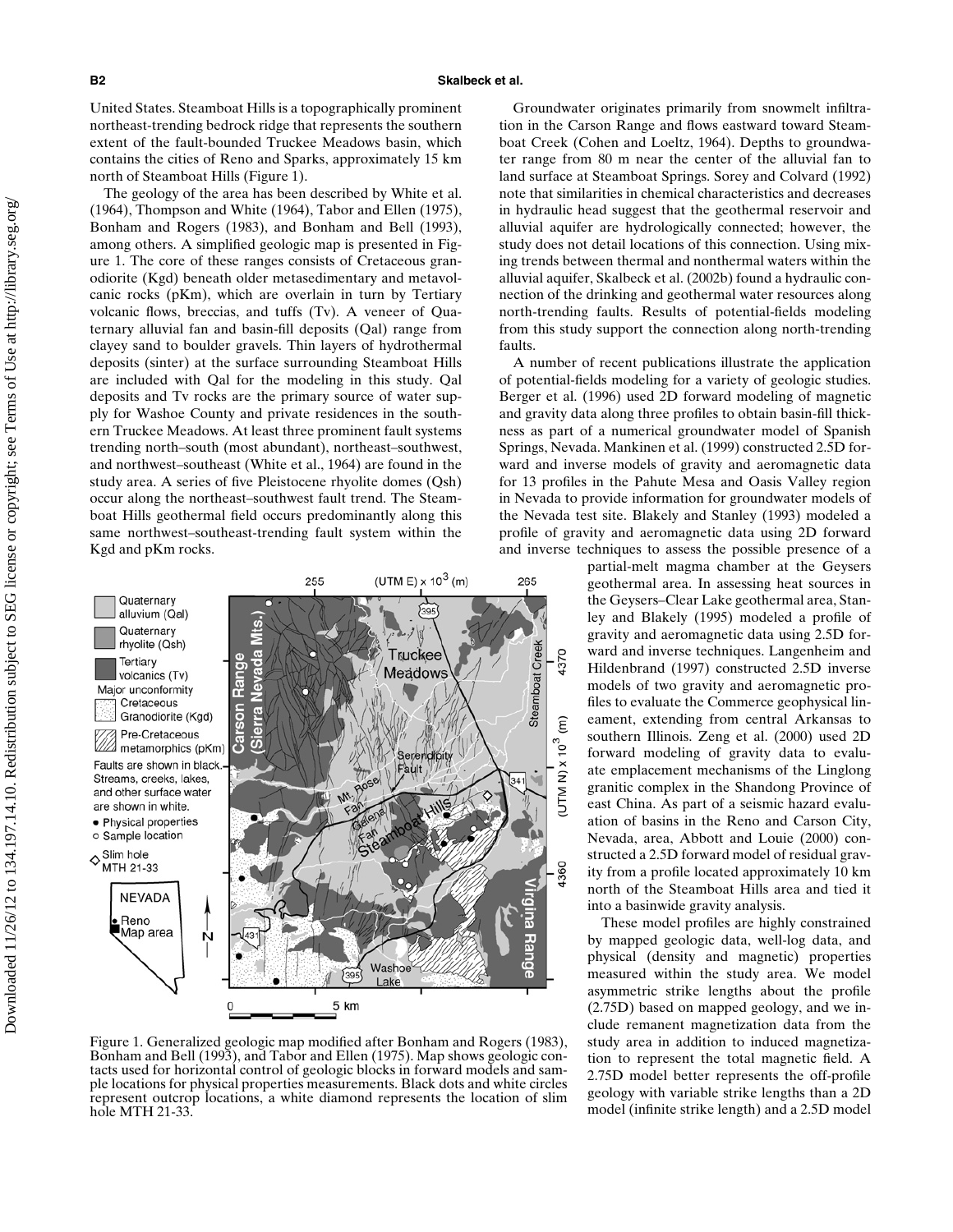United States. Steamboat Hills is a topographically prominent northeast-trending bedrock ridge that represents the southern extent of the fault-bounded Truckee Meadows basin, which contains the cities of Reno and Sparks, approximately 15 km north of Steamboat Hills (Figure 1).

The geology of the area has been described by White et al. (1964), Thompson and White (1964), Tabor and Ellen (1975), Bonham and Rogers (1983), and Bonham and Bell (1993), among others. A simplified geologic map is presented in Figure 1. The core of these ranges consists of Cretaceous granodiorite (Kgd) beneath older metasedimentary and metavolcanic rocks (pKm), which are overlain in turn by Tertiary volcanic flows, breccias, and tuffs (Tv). A veneer of Quaternary alluvial fan and basin-fill deposits (Qal) range from clayey sand to boulder gravels. Thin layers of hydrothermal deposits (sinter) at the surface surrounding Steamboat Hills are included with Qal for the modeling in this study. Qal deposits and Tv rocks are the primary source of water supply for Washoe County and private residences in the southern Truckee Meadows. At least three prominent fault systems trending north–south (most abundant), northeast–southwest, and northwest–southeast (White et al., 1964) are found in the study area. A series of five Pleistocene rhyolite domes (Qsh) occur along the northeast–southwest fault trend. The Steamboat Hills geothermal field occurs predominantly along this same northwest–southeast-trending fault system within the Kgd and pKm rocks.



Figure 1. Generalized geologic map modified after Bonham and Rogers (1983), Bonham and Bell (1993), and Tabor and Ellen (1975). Map shows geologic contacts used for horizontal control of geologic blocks in forward models and sample locations for physical properties measurements. Black dots and white circles represent outcrop locations, a white diamond represents the location of slim hole MTH 21-33.

Groundwater originates primarily from snowmelt infiltration in the Carson Range and flows eastward toward Steamboat Creek (Cohen and Loeltz, 1964). Depths to groundwater range from 80 m near the center of the alluvial fan to land surface at Steamboat Springs. Sorey and Colvard (1992) note that similarities in chemical characteristics and decreases in hydraulic head suggest that the geothermal reservoir and alluvial aquifer are hydrologically connected; however, the study does not detail locations of this connection. Using mixing trends between thermal and nonthermal waters within the alluvial aquifer, Skalbeck et al. (2002b) found a hydraulic connection of the drinking and geothermal water resources along north-trending faults. Results of potential-fields modeling from this study support the connection along north-trending faults.

A number of recent publications illustrate the application of potential-fields modeling for a variety of geologic studies. Berger et al. (1996) used 2D forward modeling of magnetic and gravity data along three profiles to obtain basin-fill thickness as part of a numerical groundwater model of Spanish Springs, Nevada. Mankinen et al. (1999) constructed 2.5D forward and inverse models of gravity and aeromagnetic data for 13 profiles in the Pahute Mesa and Oasis Valley region in Nevada to provide information for groundwater models of the Nevada test site. Blakely and Stanley (1993) modeled a profile of gravity and aeromagnetic data using 2D forward and inverse techniques to assess the possible presence of a

> partial-melt magma chamber at the Geysers geothermal area. In assessing heat sources in the Geysers–Clear Lake geothermal area, Stanley and Blakely (1995) modeled a profile of gravity and aeromagnetic data using 2.5D forward and inverse techniques. Langenheim and Hildenbrand (1997) constructed 2.5D inverse models of two gravity and aeromagnetic profiles to evaluate the Commerce geophysical lineament, extending from central Arkansas to southern Illinois. Zeng et al. (2000) used 2D forward modeling of gravity data to evaluate emplacement mechanisms of the Linglong granitic complex in the Shandong Province of east China. As part of a seismic hazard evaluation of basins in the Reno and Carson City, Nevada, area, Abbott and Louie (2000) constructed a 2.5D forward model of residual gravity from a profile located approximately 10 km north of the Steamboat Hills area and tied it into a basinwide gravity analysis.

> These model profiles are highly constrained by mapped geologic data, well-log data, and physical (density and magnetic) properties measured within the study area. We model asymmetric strike lengths about the profile (2.75D) based on mapped geology, and we include remanent magnetization data from the study area in addition to induced magnetization to represent the total magnetic field. A 2.75D model better represents the off-profile geology with variable strike lengths than a 2D model (infinite strike length) and a 2.5D model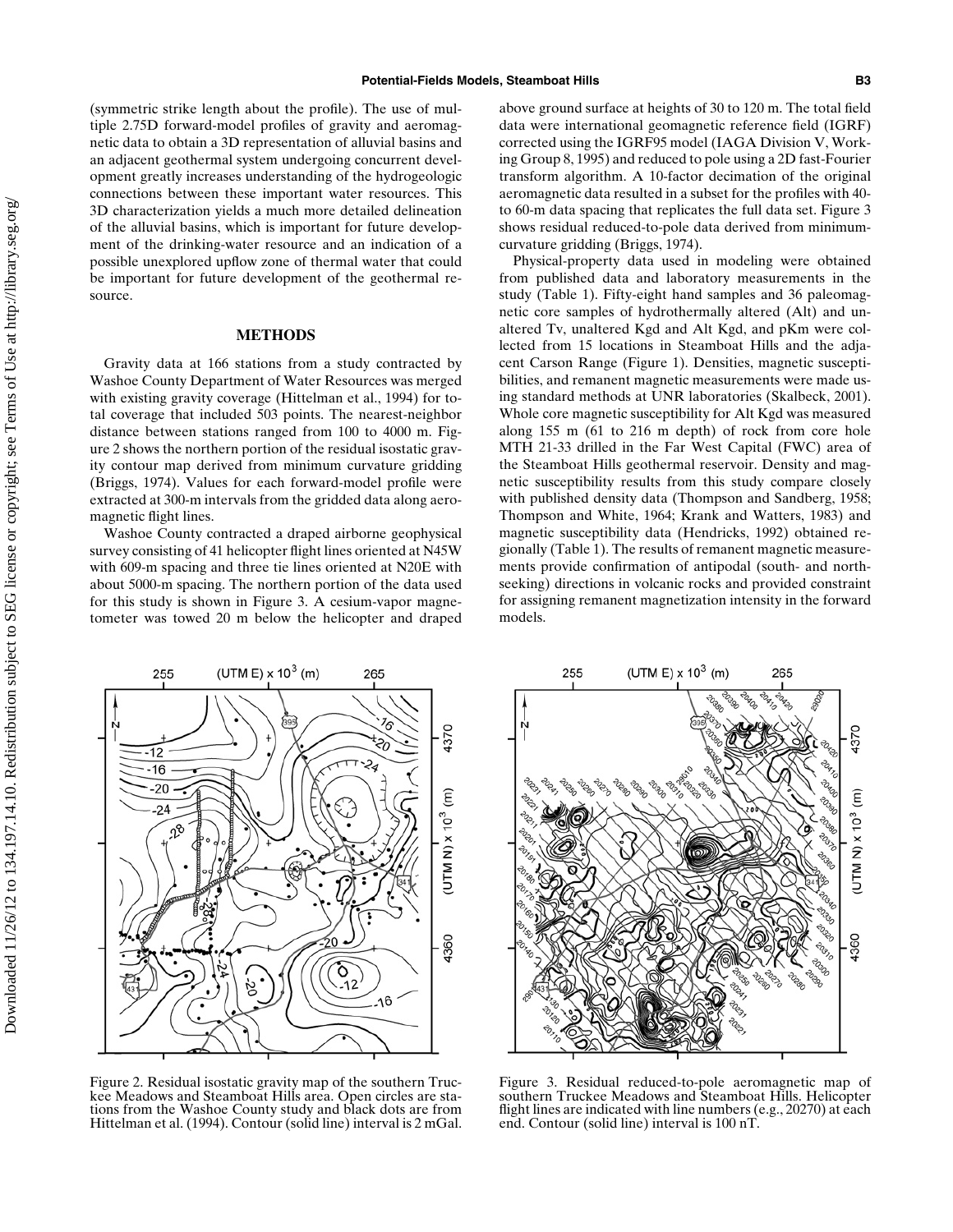(symmetric strike length about the profile). The use of multiple 2.75D forward-model profiles of gravity and aeromagnetic data to obtain a 3D representation of alluvial basins and an adjacent geothermal system undergoing concurrent development greatly increases understanding of the hydrogeologic connections between these important water resources. This 3D characterization yields a much more detailed delineation of the alluvial basins, which is important for future development of the drinking-water resource and an indication of a possible unexplored upflow zone of thermal water that could be important for future development of the geothermal resource.

#### **METHODS**

Gravity data at 166 stations from a study contracted by Washoe County Department of Water Resources was merged with existing gravity coverage (Hittelman et al., 1994) for total coverage that included 503 points. The nearest-neighbor distance between stations ranged from 100 to 4000 m. Figure 2 shows the northern portion of the residual isostatic gravity contour map derived from minimum curvature gridding (Briggs, 1974). Values for each forward-model profile were extracted at 300-m intervals from the gridded data along aeromagnetic flight lines.

Washoe County contracted a draped airborne geophysical survey consisting of 41 helicopter flight lines oriented at N45W with 609-m spacing and three tie lines oriented at N20E with about 5000-m spacing. The northern portion of the data used for this study is shown in Figure 3. A cesium-vapor magnetometer was towed 20 m below the helicopter and draped

above ground surface at heights of 30 to 120 m. The total field data were international geomagnetic reference field (IGRF) corrected using the IGRF95 model (IAGA Division V, Working Group 8, 1995) and reduced to pole using a 2D fast-Fourier transform algorithm. A 10-factor decimation of the original aeromagnetic data resulted in a subset for the profiles with 40 to 60-m data spacing that replicates the full data set. Figure 3 shows residual reduced-to-pole data derived from minimumcurvature gridding (Briggs, 1974).

Physical-property data used in modeling were obtained from published data and laboratory measurements in the study (Table 1). Fifty-eight hand samples and 36 paleomagnetic core samples of hydrothermally altered (Alt) and unaltered Tv, unaltered Kgd and Alt Kgd, and pKm were collected from 15 locations in Steamboat Hills and the adjacent Carson Range (Figure 1). Densities, magnetic susceptibilities, and remanent magnetic measurements were made using standard methods at UNR laboratories (Skalbeck, 2001). Whole core magnetic susceptibility for Alt Kgd was measured along 155 m (61 to 216 m depth) of rock from core hole MTH 21-33 drilled in the Far West Capital (FWC) area of the Steamboat Hills geothermal reservoir. Density and magnetic susceptibility results from this study compare closely with published density data (Thompson and Sandberg, 1958; Thompson and White, 1964; Krank and Watters, 1983) and magnetic susceptibility data (Hendricks, 1992) obtained regionally (Table 1). The results of remanent magnetic measurements provide confirmation of antipodal (south- and northseeking) directions in volcanic rocks and provided constraint for assigning remanent magnetization intensity in the forward models.



Figure 2. Residual isostatic gravity map of the southern Truckee Meadows and Steamboat Hills area. Open circles are stations from the Washoe County study and black dots are from Hittelman et al. (1994). Contour (solid line) interval is 2 mGal.



Figure 3. Residual reduced-to-pole aeromagnetic map of southern Truckee Meadows and Steamboat Hills. Helicopter flight lines are indicated with line numbers (e.g., 20270) at each end. Contour (solid line) interval is 100 nT.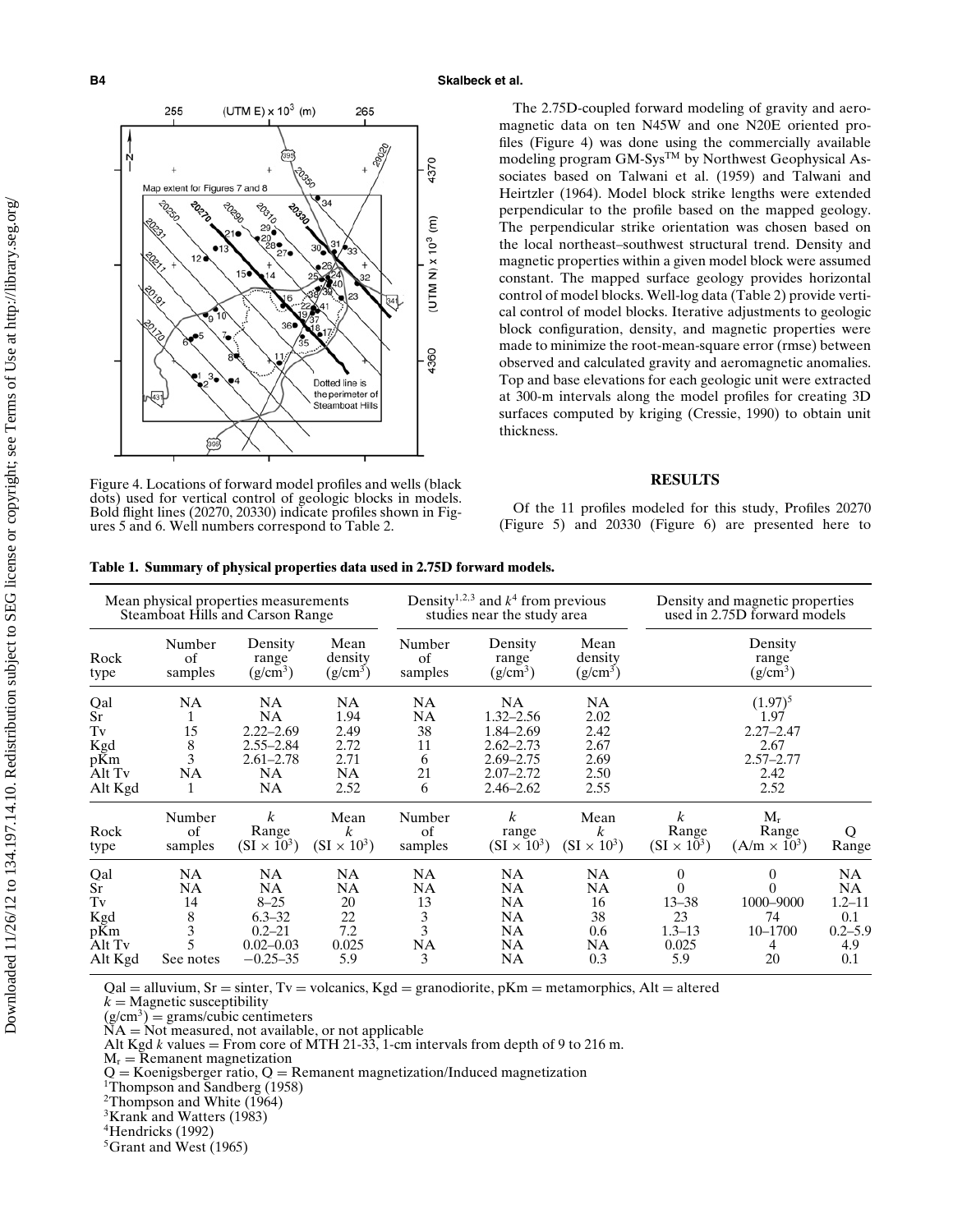

Figure 4. Locations of forward model profiles and wells (black dots) used for vertical control of geologic blocks in models. Bold flight lines (20270, 20330) indicate profiles shown in Figures 5 and 6. Well numbers correspond to Table 2.

The 2.75D-coupled forward modeling of gravity and aeromagnetic data on ten N45W and one N20E oriented profiles (Figure 4) was done using the commercially available modeling program GM-Sys<sup>TM</sup> by Northwest Geophysical Associates based on Talwani et al. (1959) and Talwani and Heirtzler (1964). Model block strike lengths were extended perpendicular to the profile based on the mapped geology. The perpendicular strike orientation was chosen based on the local northeast–southwest structural trend. Density and magnetic properties within a given model block were assumed constant. The mapped surface geology provides horizontal control of model blocks. Well-log data (Table 2) provide vertical control of model blocks. Iterative adjustments to geologic block configuration, density, and magnetic properties were made to minimize the root-mean-square error (rmse) between observed and calculated gravity and aeromagnetic anomalies. Top and base elevations for each geologic unit were extracted at 300-m intervals along the model profiles for creating 3D surfaces computed by kriging (Cressie, 1990) to obtain unit thickness.

### **RESULTS**

Of the 11 profiles modeled for this study, Profiles 20270 (Figure 5) and 20330 (Figure 6) are presented here to

| Mean physical properties measurements<br>Steamboat Hills and Carson Range |                                                                                            |                                                                                                 |                                                                |                                                           | Density <sup>1,2,3</sup> and $k^4$ from previous<br>studies near the study area                             |                                                           | Density and magnetic properties<br>used in 2.75D forward models              |                                                        |                                                                    |  |
|---------------------------------------------------------------------------|--------------------------------------------------------------------------------------------|-------------------------------------------------------------------------------------------------|----------------------------------------------------------------|-----------------------------------------------------------|-------------------------------------------------------------------------------------------------------------|-----------------------------------------------------------|------------------------------------------------------------------------------|--------------------------------------------------------|--------------------------------------------------------------------|--|
| Rock<br>type                                                              | Mean<br>Number<br>Density<br>of<br>density<br>range<br>$(g/cm^3)$<br>$(g/cm^3)$<br>samples |                                                                                                 |                                                                | Number<br>Density<br>of<br>range<br>samples<br>$(g/cm^3)$ |                                                                                                             | Mean<br>density<br>$(g/cm^3)$                             | Density<br>range<br>$(g/cm^3)$                                               |                                                        |                                                                    |  |
| Qal<br>Sr<br>Tv<br>Kgd<br>pKm<br>Alt Tv<br>Alt Kgd                        | <b>NA</b><br>1<br>15<br>$8\,$<br>3<br><b>NA</b><br>1                                       | NA<br><b>NA</b><br>$2.22 - 2.69$<br>$2.55 - 2.84$<br>$2.61 - 2.78$<br><b>NA</b><br>NA           | <b>NA</b><br>1.94<br>2.49<br>2.72<br>2.71<br><b>NA</b><br>2.52 | NA<br><b>NA</b><br>38<br>11<br>6<br>21<br>6               | <b>NA</b><br>$1.32 - 2.56$<br>1.84–2.69<br>$2.62 - 2.73$<br>$2.69 - 2.75$<br>$2.07 - 2.72$<br>$2.46 - 2.62$ | <b>NA</b><br>2.02<br>2.42<br>2.67<br>2.69<br>2.50<br>2.55 | $(1.97)^5$<br>1.97<br>$2.27 - 2.47$<br>2.67<br>$2.57 - 2.77$<br>2.42<br>2.52 |                                                        |                                                                    |  |
| Rock<br>type                                                              | Number<br>οf<br>samples                                                                    | $\boldsymbol{k}$<br>Range<br>$(SI \times 10^3)$                                                 | Mean<br>$\boldsymbol{k}$<br>$(SI \times 10^3)$                 | Number<br>of<br>samples                                   | $\boldsymbol{k}$<br>range<br>$(SI \times 10^3)$                                                             | Mean<br>$\boldsymbol{k}$<br>$(SI \times 10^3)$            | $\boldsymbol{k}$<br>Range<br>$(SI \times 10^3)$                              | $M_r$<br>Range<br>$(A/m \times 10^3)$                  | O<br>Range                                                         |  |
| Qal<br>Sr<br>Tv<br>Kgd<br>pKm<br>Alt Tv<br>Alt Kgd                        | <b>NA</b><br><b>NA</b><br>14<br>$\begin{smallmatrix}8\\3\end{smallmatrix}$<br>See notes    | <b>NA</b><br><b>NA</b><br>$8 - 25$<br>$6.3 - 32$<br>$0.2 - 21$<br>$0.02 - 0.03$<br>$-0.25 - 35$ | <b>NA</b><br>NA<br>20<br>$22\,$<br>7.2<br>0.025<br>5.9         | NA<br>NA<br>13<br>$\frac{3}{3}$<br>NA<br>3                | <b>NA</b><br><b>NA</b><br><b>NA</b><br><b>NA</b><br><b>NA</b><br><b>NA</b><br>NA                            | <b>NA</b><br><b>NA</b><br>16<br>38<br>0.6<br>NA<br>0.3    | $\bf{0}$<br>0<br>$13 - 38$<br>23<br>$1.3 - 13$<br>0.025<br>5.9               | $\Omega$<br>0<br>1000-9000<br>74<br>10-1700<br>4<br>20 | NA.<br><b>NA</b><br>$1.2 - 11$<br>0.1<br>$0.2 - 5.9$<br>4.9<br>0.1 |  |

**Table 1. Summary of physical properties data used in 2.75D forward models.**

 $Qal = alluvium, Sr = sinter, Tv = volcanics, Kgd = granodiorite, pKm = metamorphics, Alt = altered$  $k =$ Magnetic susceptibility

 $(g/cm<sup>3</sup>)$  = grams/cubic centimeters

 $NA = Not measured, not available, or not applicable  
\nAt  $K_{11}$  values.$ 

Alt Kgd *k* values = From core of MTH 21-33, 1-cm intervals from depth of 9 to 216 m.

 $M_r$  = Remanent magnetization

 $Q =$  Koenigsberger ratio,  $Q =$  Remanent magnetization/Induced magnetization <sup>1</sup>Thompson and Sandberg (1958)

2Thompson and White (1964)

<sup>3</sup>Krank and Watters (1983)

4Hendricks (1992)

<sup>5</sup>Grant and West (1965)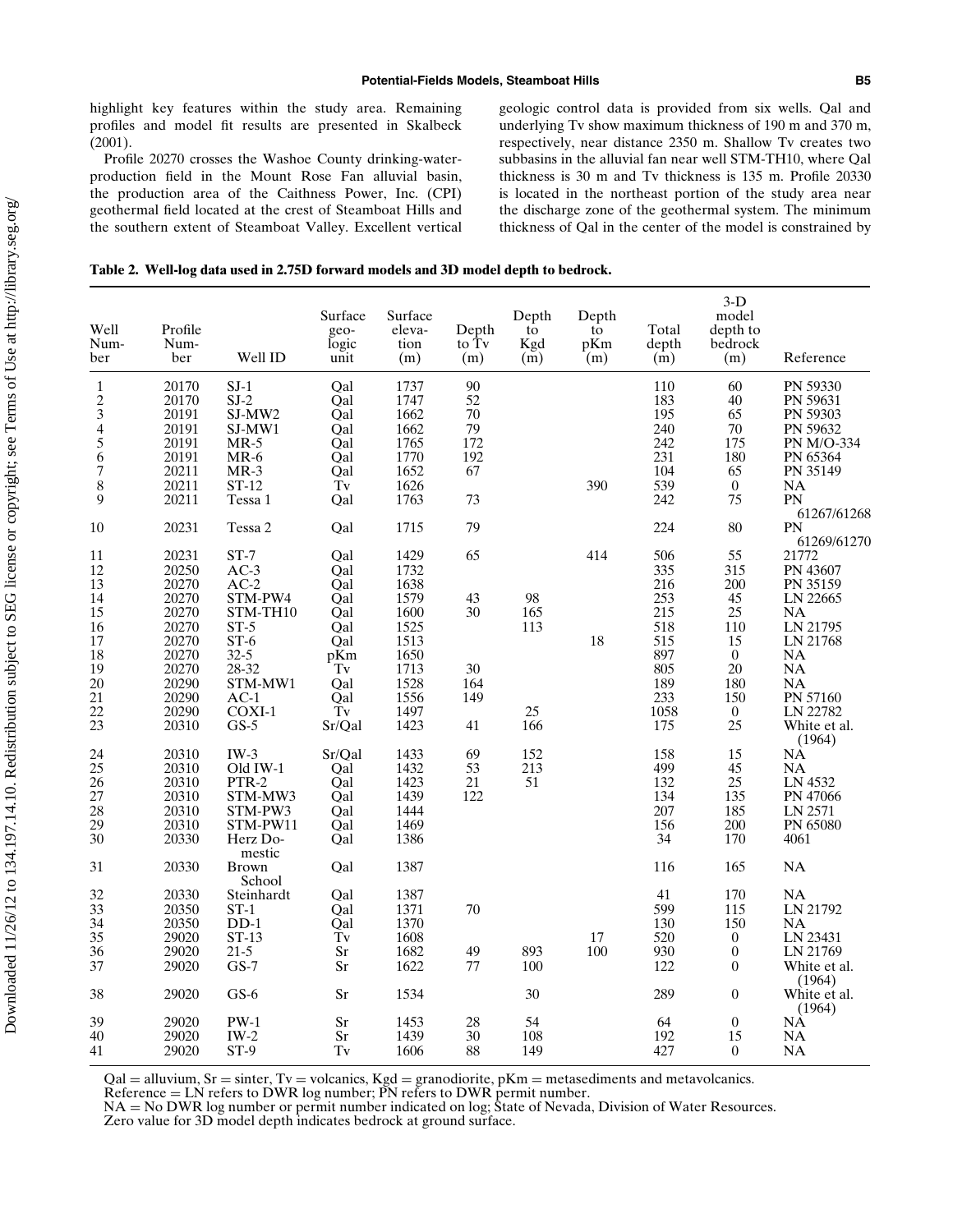highlight key features within the study area. Remaining profiles and model fit results are presented in Skalbeck (2001).

Profile 20270 crosses the Washoe County drinking-waterproduction field in the Mount Rose Fan alluvial basin, the production area of the Caithness Power, Inc. (CPI) geothermal field located at the crest of Steamboat Hills and the southern extent of Steamboat Valley. Excellent vertical geologic control data is provided from six wells. Qal and underlying Tv show maximum thickness of 190 m and 370 m, respectively, near distance 2350 m. Shallow Tv creates two subbasins in the alluvial fan near well STM-TH10, where Qal thickness is 30 m and Tv thickness is 135 m. Profile 20330 is located in the northeast portion of the study area near the discharge zone of the geothermal system. The minimum thickness of Qal in the center of the model is constrained by

| Table 2. Well-log data used in 2.75D forward models and 3D model depth to bedrock. |  |  |  |  |  |  |  |  |  |  |  |
|------------------------------------------------------------------------------------|--|--|--|--|--|--|--|--|--|--|--|
|------------------------------------------------------------------------------------|--|--|--|--|--|--|--|--|--|--|--|

| Well<br>Num-<br>ber   | Profile<br>Num-<br>ber | Well ID                | Surface<br>geo-<br>logic<br>unit | Surface<br>eleva-<br>tion<br>(m) | Depth<br>to T <sub>v</sub><br>(m) | Depth<br>to<br>Kgd<br>(m) | Depth<br>to<br>pKm<br>(m) | Total<br>depth<br>(m) | $3-D$<br>model<br>depth to<br>bedrock<br>(m) | Reference                               |
|-----------------------|------------------------|------------------------|----------------------------------|----------------------------------|-----------------------------------|---------------------------|---------------------------|-----------------------|----------------------------------------------|-----------------------------------------|
|                       | 20170                  | $SJ-1$                 | Qal                              | 1737                             | 90                                |                           |                           | 110                   | 60                                           | PN 59330                                |
| $\frac{1}{2}$         | 20170<br>20191         | $SJ-2$                 | Qal                              | 1747<br>1662                     | 52<br>70                          |                           |                           | 183<br>195            | 40<br>65                                     | PN 59631                                |
| 4                     | 20191                  | SJ-MW2<br>SJ-MW1       | Qal<br>Qal                       | 1662                             | 79                                |                           |                           | 240                   | $70\,$                                       | PN 59303<br>PN 59632                    |
| 5                     | 20191                  | $MR-5$                 | Qal                              | 1765                             | 172                               |                           |                           | 242                   | 175                                          | PN M/O-334                              |
| 6                     | 20191                  | $MR-6$                 | Qal                              | 1770                             | 192                               |                           |                           | 231                   | 180                                          | PN 65364                                |
| 7                     | 20211                  | $MR-3$                 | Oal                              | 1652                             | 67                                |                           |                           | 104                   | 65                                           | PN 35149                                |
| 8                     | 20211                  | ST-12                  | Tv                               | 1626                             |                                   |                           | 390                       | 539                   | $\boldsymbol{0}$                             | <b>NA</b>                               |
| 9                     | 20211                  | Tessa 1                | Qal                              | 1763                             | 73                                |                           |                           | 242                   | 75                                           | PN                                      |
| 10                    | 20231                  | Tessa 2                | Qal                              | 1715                             | 79                                |                           |                           | 224                   | 80                                           | 61267/61268<br><b>PN</b><br>61269/61270 |
| 11                    | 20231                  | $ST-7$                 | Qal                              | 1429                             | 65                                |                           | 414                       | 506                   | 55                                           | 21772                                   |
| 12                    | 20250                  | $AC-3$                 | Qal                              | 1732                             |                                   |                           |                           | 335                   | 315                                          | PN 43607                                |
| 13                    | 20270                  | $AC-2$                 | Qal                              | 1638                             |                                   |                           |                           | 216                   | 200                                          | PN 35159                                |
| 14                    | 20270                  | STM-PW4                | Qal                              | 1579                             | 43<br>30                          | 98                        |                           | 253                   | 45                                           | LN 22665                                |
| 15<br>16              | 20270<br>20270         | STM-TH10<br>$ST-5$     | Qal<br>Qal                       | 1600<br>1525                     |                                   | 165<br>113                |                           | 215<br>518            | 25<br>110                                    | NA<br>LN 21795                          |
| 17                    | 20270                  | $ST-6$                 | Qal                              | 1513                             |                                   |                           | 18                        | 515                   | 15                                           | LN 21768                                |
| 18                    | 20270                  | $32 - 5$               | p $\overline{\text{K}}$ m        | 1650                             |                                   |                           |                           | 897                   | $\boldsymbol{0}$                             | $\rm NA$                                |
| 19                    | 20270                  | 28-32                  | $\operatorname{Tv}$              | 1713                             | 30                                |                           |                           | 805                   | 20                                           | NA                                      |
| 20                    | 20290                  | STM-MW1                | Qal                              | 1528                             | 164                               |                           |                           | 189                   | 180                                          | NA                                      |
| 21                    | 20290                  | $AC-1$                 | Qal                              | 1556                             | 149                               |                           |                           | 233                   | 150                                          | PN 57160                                |
| 22<br>23              | 20290<br>20310         | $COXI-1$<br>$GS-5$     | $\operatorname{Tv}$<br>Sr/Qal    | 1497<br>1423                     | 41                                | 25<br>166                 |                           | 1058<br>175           | $\boldsymbol{0}$<br>25                       | LN 22782<br>White et al.<br>(1964)      |
| 24                    | 20310                  | $IW-3$                 | Sr/Qal                           | 1433                             | 69                                | 152                       |                           | 158                   | 15                                           | NÀ                                      |
| 25                    | 20310                  | Old IW-1               | Qal                              | 1432                             | 53                                | 213                       |                           | 499                   | 45                                           | <b>NA</b>                               |
| 26                    | 20310                  | PTR-2                  | Qal                              | 1423                             | 21                                | 51                        |                           | 132                   | 25                                           | LN 4532                                 |
| 27                    | 20310                  | STM-MW3                | Qal                              | 1439                             | 122                               |                           |                           | 134                   | 135                                          | PN 47066                                |
| 28<br>29              | 20310<br>20310         | STM-PW3<br>STM-PW11    | Qal<br>Qal                       | 1444<br>1469                     |                                   |                           |                           | 207<br>156            | 185<br>200                                   | LN 2571<br>PN 65080                     |
| 30                    | 20330                  | Herz Do-               | Qal                              | 1386                             |                                   |                           |                           | 34                    | 170                                          | 4061                                    |
|                       |                        | mestic                 |                                  |                                  |                                   |                           |                           |                       |                                              |                                         |
| 31                    | 20330                  | <b>Brown</b><br>School | Qal                              | 1387                             |                                   |                           |                           | 116                   | 165                                          | NA                                      |
| 32                    | 20330                  | Steinhardt             | Qal                              | 1387                             |                                   |                           |                           | 41                    | 170                                          | <b>NA</b>                               |
| 33<br>$\overline{34}$ | 20350                  | $ST-1$                 | Qal                              | 1371                             | 70                                |                           |                           | 599                   | 115                                          | LN 21792                                |
| 35                    | 20350<br>29020         | $DD-1$<br>$ST-13$      | Qal<br>$\tilde{T}v$              | 1370<br>1608                     |                                   |                           | 17                        | 130<br>520            | 150<br>$\boldsymbol{0}$                      | NA<br>LN 23431                          |
| 36                    | 29020                  | $21-5$                 | Sr                               | 1682                             | 49                                | 893                       | 100                       | 930                   | $\boldsymbol{0}$                             | LN 21769                                |
| 37                    | 29020                  | $GS-7$                 | Sr                               | 1622                             | 77                                | 100                       |                           | 122                   | $\overline{0}$                               | White et al.<br>(1964)                  |
| 38                    | 29020                  | $GS-6$                 | Sr                               | 1534                             |                                   | 30                        |                           | 289                   | $\boldsymbol{0}$                             | White et al.<br>(1964)                  |
| 39                    | 29020                  | $PW-1$                 | <b>Sr</b>                        | 1453                             | 28                                | 54                        |                           | 64                    | $\boldsymbol{0}$                             | NÀ                                      |
| 40                    | 29020                  | $IW-2$                 | Sr                               | 1439                             | 30                                | 108                       |                           | 192                   | 15                                           | NA                                      |
| 41                    | 29020                  | $ST-9$                 | Tv                               | 1606                             | 88                                | 149                       |                           | 427                   | $\boldsymbol{0}$                             | $\rm NA$                                |

 $Qal = alluvium, Sr = sinter, Tv = volcanics, Kg = granodiorite, pKm = metastable.$ 

Reference  $=$  LN refers to DWR log number; PN refers to DWR permit number.

NA = No DWR log number or permit number indicated on log; State of Nevada, Division of Water Resources.

Zero value for 3D model depth indicates bedrock at ground surface.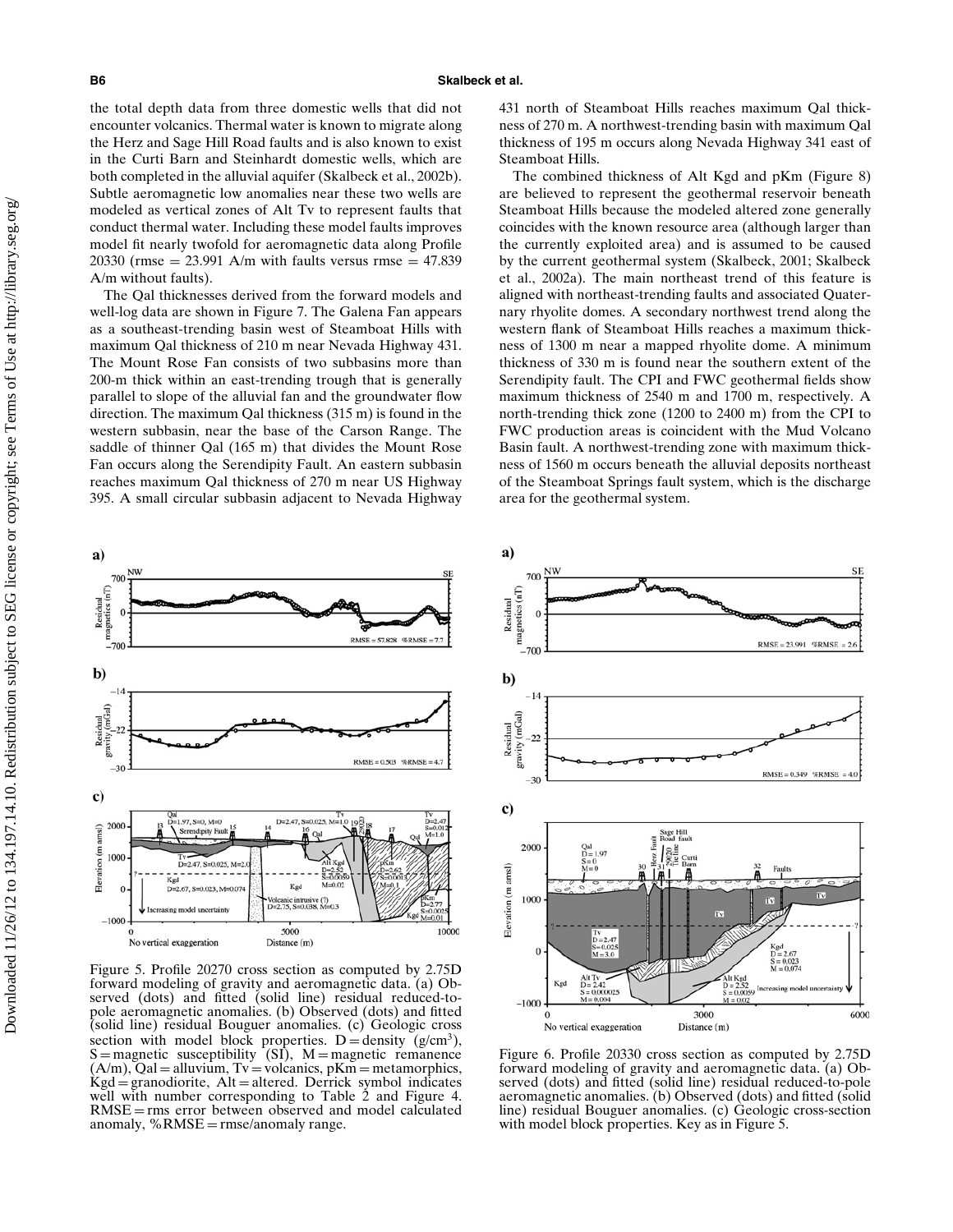the total depth data from three domestic wells that did not encounter volcanics. Thermal water is known to migrate along the Herz and Sage Hill Road faults and is also known to exist in the Curti Barn and Steinhardt domestic wells, which are both completed in the alluvial aquifer (Skalbeck et al., 2002b). Subtle aeromagnetic low anomalies near these two wells are modeled as vertical zones of Alt Tv to represent faults that conduct thermal water. Including these model faults improves model fit nearly twofold for aeromagnetic data along Profile 20330 (rmse =  $23.991$  A/m with faults versus rmse =  $47.839$ ) A/m without faults).

The Qal thicknesses derived from the forward models and well-log data are shown in Figure 7. The Galena Fan appears as a southeast-trending basin west of Steamboat Hills with maximum Qal thickness of 210 m near Nevada Highway 431. The Mount Rose Fan consists of two subbasins more than 200-m thick within an east-trending trough that is generally parallel to slope of the alluvial fan and the groundwater flow direction. The maximum Qal thickness (315 m) is found in the western subbasin, near the base of the Carson Range. The saddle of thinner Qal (165 m) that divides the Mount Rose Fan occurs along the Serendipity Fault. An eastern subbasin reaches maximum Qal thickness of 270 m near US Highway 395. A small circular subbasin adjacent to Nevada Highway



Figure 5. Profile 20270 cross section as computed by 2.75D forward modeling of gravity and aeromagnetic data. (a) Observed (dots) and fitted (solid line) residual reduced-topole aeromagnetic anomalies. (b) Observed (dots) and fitted (solid line) residual Bouguer anomalies. (c) Geologic cross section with model block properties. D = density  $(g/cm<sup>3</sup>)$ ,  $S =$  magnetic susceptibility  $(SI)$ ,  $M =$  magnetic remanence  $(A/m)$ ,  $Qal = alluvium$ ,  $Tv = volcanics$ ,  $pKm = metamorphics$ ,  $Kgd =$ granodiorite, Alt = altered. Derrick symbol indicates well with number corresponding to Table 2 and Figure 4.  $RMSE = rms$  error between observed and model calculated anomaly,  $%RMSE =$  rmse/anomaly range.

431 north of Steamboat Hills reaches maximum Qal thickness of 270 m. A northwest-trending basin with maximum Qal thickness of 195 m occurs along Nevada Highway 341 east of Steamboat Hills.

The combined thickness of Alt Kgd and pKm (Figure 8) are believed to represent the geothermal reservoir beneath Steamboat Hills because the modeled altered zone generally coincides with the known resource area (although larger than the currently exploited area) and is assumed to be caused by the current geothermal system (Skalbeck, 2001; Skalbeck et al., 2002a). The main northeast trend of this feature is aligned with northeast-trending faults and associated Quaternary rhyolite domes. A secondary northwest trend along the western flank of Steamboat Hills reaches a maximum thickness of 1300 m near a mapped rhyolite dome. A minimum thickness of 330 m is found near the southern extent of the Serendipity fault. The CPI and FWC geothermal fields show maximum thickness of 2540 m and 1700 m, respectively. A north-trending thick zone (1200 to 2400 m) from the CPI to FWC production areas is coincident with the Mud Volcano Basin fault. A northwest-trending zone with maximum thickness of 1560 m occurs beneath the alluvial deposits northeast of the Steamboat Springs fault system, which is the discharge area for the geothermal system.



Figure 6. Profile 20330 cross section as computed by 2.75D forward modeling of gravity and aeromagnetic data. (a) Observed (dots) and fitted (solid line) residual reduced-to-pole aeromagnetic anomalies. (b) Observed (dots) and fitted (solid line) residual Bouguer anomalies. (c) Geologic cross-section with model block properties. Key as in Figure 5.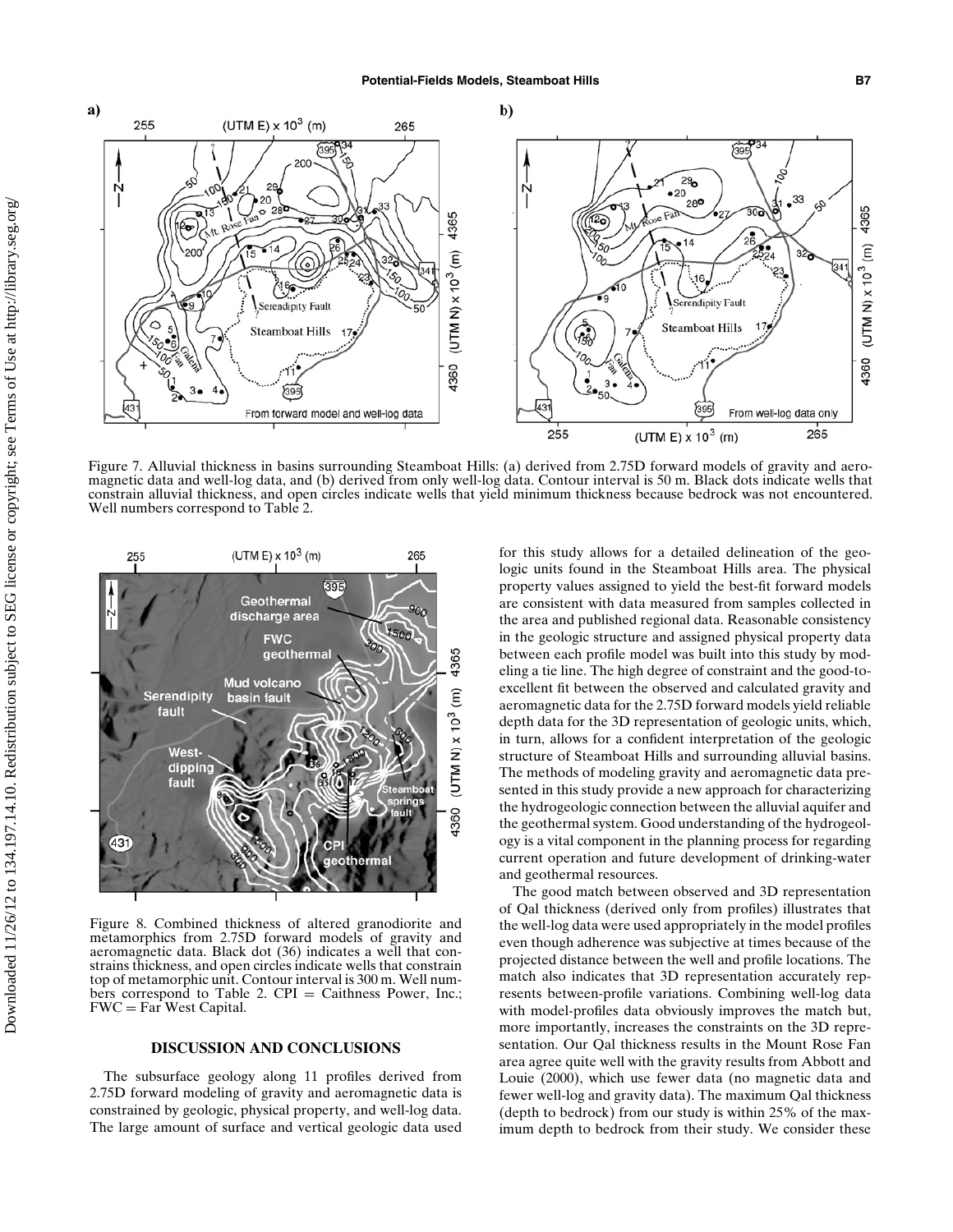

Figure 7. Alluvial thickness in basins surrounding Steamboat Hills: (a) derived from 2.75D forward models of gravity and aeromagnetic data and well-log data, and (b) derived from only well-log data. Contour interval is 50 m. Black dots indicate wells that constrain alluvial thickness, and open circles indicate wells that yield minimum thickness because bedrock was not encountered. Well numbers correspond to Table 2.



Figure 8. Combined thickness of altered granodiorite and metamorphics from 2.75D forward models of gravity and aeromagnetic data. Black dot (36) indicates a well that constrains thickness, and open circles indicate wells that constrain top of metamorphic unit. Contour interval is 300 m. Well numbers correspond to Table 2. CPI = Caithness Power, Inc.; FWC = Far West Capital.

#### **DISCUSSION AND CONCLUSIONS**

The subsurface geology along 11 profiles derived from 2.75D forward modeling of gravity and aeromagnetic data is constrained by geologic, physical property, and well-log data. The large amount of surface and vertical geologic data used for this study allows for a detailed delineation of the geologic units found in the Steamboat Hills area. The physical property values assigned to yield the best-fit forward models are consistent with data measured from samples collected in the area and published regional data. Reasonable consistency in the geologic structure and assigned physical property data between each profile model was built into this study by modeling a tie line. The high degree of constraint and the good-toexcellent fit between the observed and calculated gravity and aeromagnetic data for the 2.75D forward models yield reliable depth data for the 3D representation of geologic units, which, in turn, allows for a confident interpretation of the geologic structure of Steamboat Hills and surrounding alluvial basins. The methods of modeling gravity and aeromagnetic data presented in this study provide a new approach for characterizing the hydrogeologic connection between the alluvial aquifer and the geothermal system. Good understanding of the hydrogeology is a vital component in the planning process for regarding current operation and future development of drinking-water and geothermal resources.

The good match between observed and 3D representation of Qal thickness (derived only from profiles) illustrates that the well-log data were used appropriately in the model profiles even though adherence was subjective at times because of the projected distance between the well and profile locations. The match also indicates that 3D representation accurately represents between-profile variations. Combining well-log data with model-profiles data obviously improves the match but, more importantly, increases the constraints on the 3D representation. Our Qal thickness results in the Mount Rose Fan area agree quite well with the gravity results from Abbott and Louie (2000), which use fewer data (no magnetic data and fewer well-log and gravity data). The maximum Qal thickness (depth to bedrock) from our study is within 25% of the maximum depth to bedrock from their study. We consider these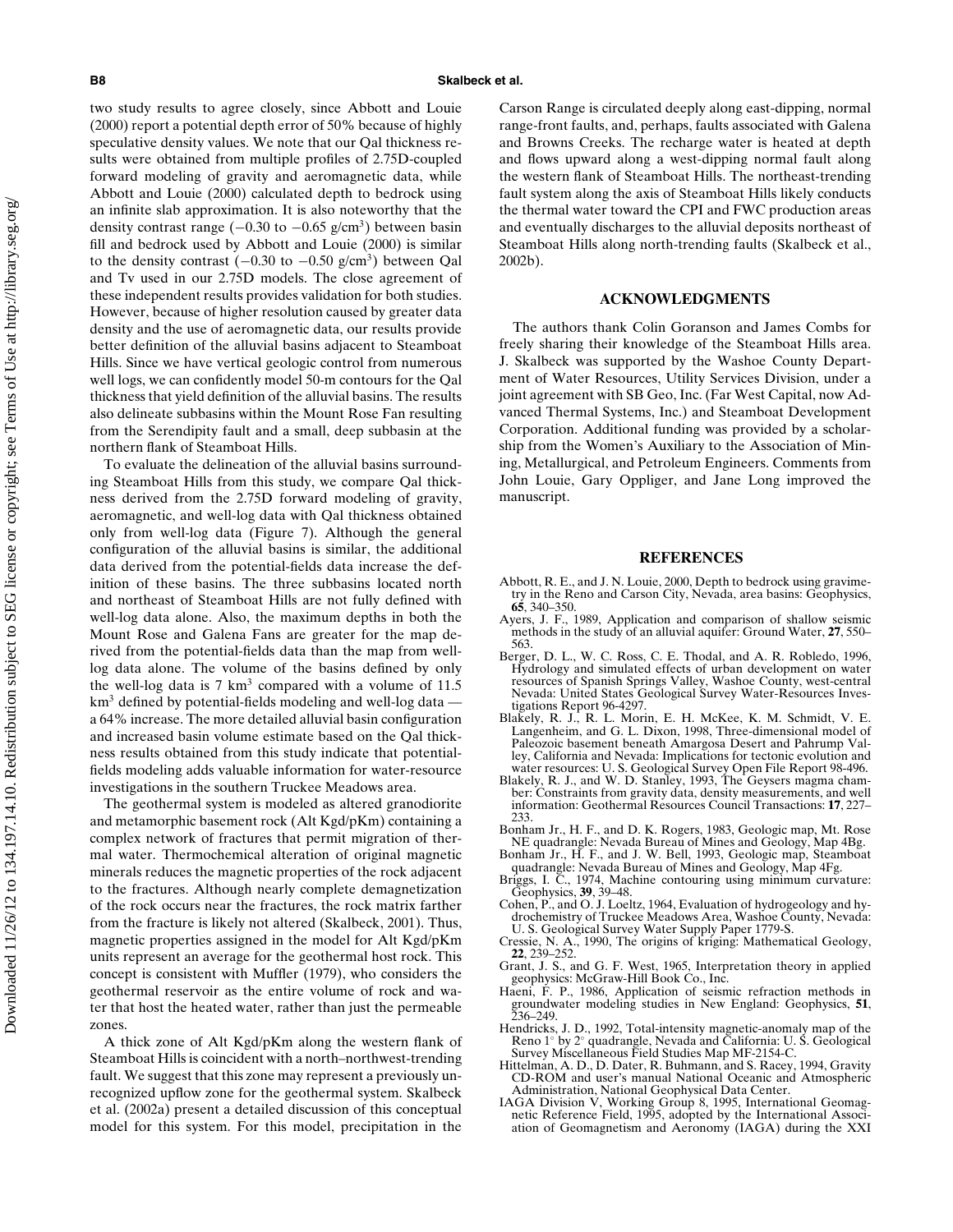Downloaded 11/26/12 to 134.197.14.10. Redistribution subject to SEG license or copyright; see Terms of Use at http://library.seg.org/Downloaded 11/26/12 to 134.197.14.10. Redistribution subject to SEG license or copyright; see Terms of Use at http://library.seg.org two study results to agree closely, since Abbott and Louie (2000) report a potential depth error of 50% because of highly speculative density values. We note that our Qal thickness results were obtained from multiple profiles of 2.75D-coupled forward modeling of gravity and aeromagnetic data, while Abbott and Louie (2000) calculated depth to bedrock using an infinite slab approximation. It is also noteworthy that the density contrast range ( $-0.30$  to  $-0.65$  g/cm<sup>3</sup>) between basin fill and bedrock used by Abbott and Louie (2000) is similar to the density contrast  $(-0.30 \text{ to } -0.50 \text{ g/cm}^3)$  between Qal and Tv used in our 2.75D models. The close agreement of these independent results provides validation for both studies. However, because of higher resolution caused by greater data density and the use of aeromagnetic data, our results provide better definition of the alluvial basins adjacent to Steamboat Hills. Since we have vertical geologic control from numerous well logs, we can confidently model 50-m contours for the Qal thickness that yield definition of the alluvial basins. The results also delineate subbasins within the Mount Rose Fan resulting from the Serendipity fault and a small, deep subbasin at the northern flank of Steamboat Hills.

To evaluate the delineation of the alluvial basins surrounding Steamboat Hills from this study, we compare Qal thickness derived from the 2.75D forward modeling of gravity, aeromagnetic, and well-log data with Qal thickness obtained only from well-log data (Figure 7). Although the general configuration of the alluvial basins is similar, the additional data derived from the potential-fields data increase the definition of these basins. The three subbasins located north and northeast of Steamboat Hills are not fully defined with well-log data alone. Also, the maximum depths in both the Mount Rose and Galena Fans are greater for the map derived from the potential-fields data than the map from welllog data alone. The volume of the basins defined by only the well-log data is  $7 \text{ km}^3$  compared with a volume of 11.5  $km<sup>3</sup>$  defined by potential-fields modeling and well-log data – a 64% increase. The more detailed alluvial basin configuration and increased basin volume estimate based on the Qal thickness results obtained from this study indicate that potentialfields modeling adds valuable information for water-resource investigations in the southern Truckee Meadows area.

The geothermal system is modeled as altered granodiorite and metamorphic basement rock (Alt Kgd/pKm) containing a complex network of fractures that permit migration of thermal water. Thermochemical alteration of original magnetic minerals reduces the magnetic properties of the rock adjacent to the fractures. Although nearly complete demagnetization of the rock occurs near the fractures, the rock matrix farther from the fracture is likely not altered (Skalbeck, 2001). Thus, magnetic properties assigned in the model for Alt Kgd/pKm units represent an average for the geothermal host rock. This concept is consistent with Muffler (1979), who considers the geothermal reservoir as the entire volume of rock and water that host the heated water, rather than just the permeable zones.

A thick zone of Alt Kgd/pKm along the western flank of Steamboat Hills is coincident with a north–northwest-trending fault. We suggest that this zone may represent a previously unrecognized upflow zone for the geothermal system. Skalbeck et al. (2002a) present a detailed discussion of this conceptual model for this system. For this model, precipitation in the Carson Range is circulated deeply along east-dipping, normal range-front faults, and, perhaps, faults associated with Galena and Browns Creeks. The recharge water is heated at depth and flows upward along a west-dipping normal fault along the western flank of Steamboat Hills. The northeast-trending fault system along the axis of Steamboat Hills likely conducts the thermal water toward the CPI and FWC production areas and eventually discharges to the alluvial deposits northeast of Steamboat Hills along north-trending faults (Skalbeck et al., 2002b).

#### **ACKNOWLEDGMENTS**

The authors thank Colin Goranson and James Combs for freely sharing their knowledge of the Steamboat Hills area. J. Skalbeck was supported by the Washoe County Department of Water Resources, Utility Services Division, under a joint agreement with SB Geo, Inc. (Far West Capital, now Advanced Thermal Systems, Inc.) and Steamboat Development Corporation. Additional funding was provided by a scholarship from the Women's Auxiliary to the Association of Mining, Metallurgical, and Petroleum Engineers. Comments from John Louie, Gary Oppliger, and Jane Long improved the manuscript.

#### **REFERENCES**

- Abbott, R. E., and J. N. Louie, 2000, Depth to bedrock using gravime-try in the Reno and Carson City, Nevada, area basins: Geophysics, **65**, 340–350.
- Ayers, J. F., 1989, Application and comparison of shallow seismic methods in the study of an alluvial aquifer: Ground Water, **27**, 550– 563.
- Berger, D. L., W. C. Ross, C. E. Thodal, and A. R. Robledo, 1996, Hydrology and simulated effects of urban development on water resources of Spanish Springs Valley, Washoe County, west-central Nevada: United States Geological Survey Water-Resources Inves-
- tigations Report 96-4297. Blakely, R. J., R. L. Morin, E. H. McKee, K. M. Schmidt, V. E. Langenheim, and G. L. Dixon, 1998, Three-dimensional model of Paleozoic basement beneath Amargosa Desert and Pahrump Valley, California and Nevada: Implications for tectonic evolution and
- water resources: U. S. Geological Survey Open File Report 98-496. Blakely, R. J., and W. D. Stanley, 1993, The Geysers magma cham-ber: Constraints from gravity data, density measurements, and well information: Geothermal Resources Council Transactions: **17**, 227–
- 233. Bonham Jr., H. F., and D. K. Rogers, 1983, Geologic map, Mt. Rose NE quadrangle: Nevada Bureau of Mines and Geology, Map 4Bg. Bonham Jr., H. F., and J. W. Bell, 1993, Geologic map, Steamboat
- quadrangle: Nevada Bureau of Mines and Geology, Map 4Fg.
- Briggs, I. C., 1974, Machine contouring using minimum curvature: Geophysics, **39**, 39–48.
- Cohen, P., and O. J. Loeltz, 1964, Evaluation of hydrogeology and hy-drochemistry of Truckee Meadows Area, Washoe County, Nevada: U. S. Geological Survey Water Supply Paper 1779-S.
- Cressie, N. A., 1990, The origins of kriging: Mathematical Geology, **22**, 239–252. Grant, J. S., and G. F. West, 1965, Interpretation theory in applied
- geophysics: McGraw-Hill Book Co., Inc. Haeni, F. P., 1986, Application of seismic refraction methods in
- groundwater modeling studies in New England: Geophysics, **<sup>51</sup>**, 236–249.
- Hendricks, J. D., 1992, Total-intensity magnetic-anomaly map of the<br>Reno 1◦ by 2◦ quadrangle, Nevada and California: U. S. Geological<br>Survey Miscellaneous Field Studies Map MF-2154-C.
- Hittelman, A. D., D. Dater, R. Buhmann, and S. Racey, 1994, Gravity CD-ROM and user's manual National Oceanic and Atmospheric Administration, National Geophysical Data Center.
- IAGA Division V, Working Group 8, 1995, International Geomag-netic Reference Field, 1995, adopted by the International Association of Geomagnetism and Aeronomy (IAGA) during the XXI